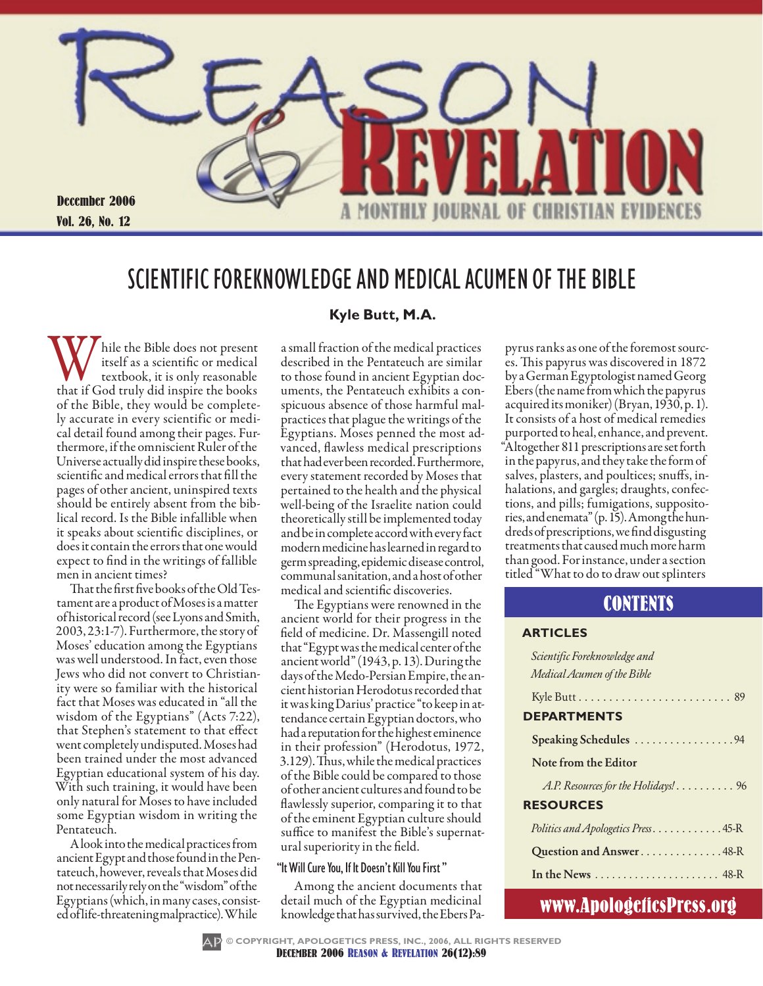

## Scientific Foreknowledge and Medical Acumen of the Bible

While the Bible does not present<br>
itself as a scientific or medical<br>
textbook, it is only reasonable<br>
that if God truly did inspire the books itself as a scientific or medical textbook, it is only reasonable of the Bible, they would be completely accurate in every scientific or medical detail found among their pages. Furthermore, if the omniscient Ruler of the Universe actually did inspire these books, scientific and medical errors that fill the pages of other ancient, uninspired texts should be entirely absent from the biblical record. Is the Bible infallible when it speaks about scientific disciplines, or does it contain the errors that one would expect to find in the writings of fallible men in ancient times?

That the first five books of the Old Testament are a product of Moses is a matter of historical record (see Lyons and Smith, 2003, 23:1-7). Furthermore, the story of Moses' education among the Egyptians was well understood. In fact, even those Jews who did not convert to Christianity were so familiar with the historical fact that Moses was educated in "all the wisdom of the Egyptians" (Acts 7:22), that Stephen's statement to that effect went completely undisputed. Moses had been trained under the most advanced Egyptian educational system of his day. With such training, it would have been only natural for Moses to have included some Egyptian wisdom in writing the Pentateuch.

A look into the medical practices from ancient Egypt and those found in the Pentateuch, however, reveals that Moses did not necessarily rely on the "wisdom" of the Egyptians (which, in many cases, consisted of life-threatening malpractice). While

### **Kyle Butt, M.A.**

a small fraction of the medical practices described in the Pentateuch are similar to those found in ancient Egyptian documents, the Pentateuch exhibits a conspicuous absence of those harmful malpractices that plague the writings of the Egyptians. Moses penned the most advanced, flawless medical prescriptions that had ever been recorded. Furthermore, every statement recorded by Moses that pertained to the health and the physical well-being of the Israelite nation could theoretically still be implemented today and be in complete accord with every fact modern medicine has learned in regard to germ spreading, epidemic disease control, communal sanitation, and a host of other medical and scientific discoveries.

The Egyptians were renowned in the ancient world for their progress in the field of medicine. Dr. Massengill noted that "Egypt was the medical center of the ancient world" (1943, p. 13). During the days of the Medo-Persian Empire, the ancient historian Herodotus recorded that it was king Darius' practice "to keep in attendance certain Egyptian doctors, who had a reputation for the highest eminence in their profession" (Herodotus, 1972, 3.129). Thus, while the medical practices of the Bible could be compared to those of other ancient cultures and found to be flawlessly superior, comparing it to that of the eminent Egyptian culture should suffice to manifest the Bible's supernatural superiority in the field.

### "It Will Cure You, If It Doesn't Kill You First "

Among the ancient documents that detail much of the Egyptian medicinal knowledge that has survived, the Ebers Pa-

pyrus ranks as one of the foremost sources. This papyrus was discovered in 1872 by a German Egyptologist named Georg Ebers (the name from which the papyrus acquired its moniker) (Bryan, 1930, p. 1). It consists of a host of medical remedies purported to heal, enhance, and prevent. "Altogether 811 prescriptions are set forth in the papyrus, and they take the form of salves, plasters, and poultices; snuffs, inhalations, and gargles; draughts, confections, and pills; fumigations, suppositories, and enemata" (p. 15). Among the hundreds of prescriptions, we find disgusting treatments that caused much more harm than good. For instance, under a section titled "What to do to draw out splinters

### **CONTENTS**

### **Articles**

### www.ApologeticsPress.org

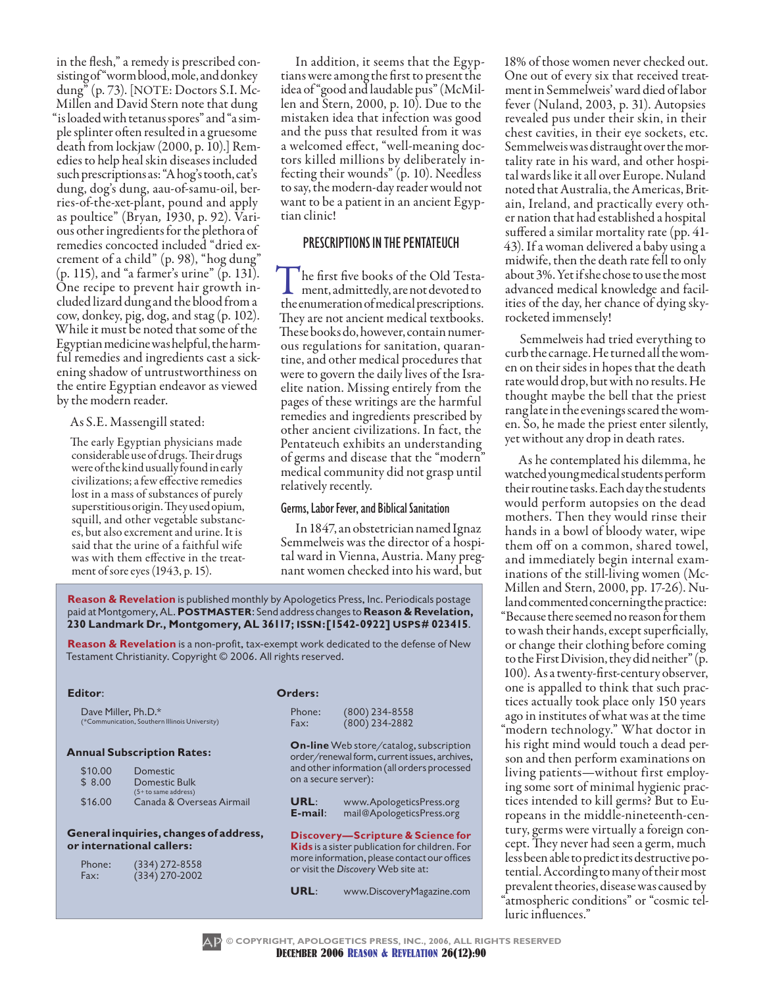in the flesh," a remedy is prescribed consisting of "worm blood, mole, and donkey dung" (p. 73). [NOTE: Doctors S.I. Mc-Millen and David Stern note that dung "is loaded with tetanus spores" and "a simple splinter often resulted in a gruesome death from lockjaw (2000, p. 10).] Remedies to help heal skin diseases included such prescriptions as: "A hog's tooth, cat's dung, dog's dung, aau-of-samu-oil, berries-of-the-xet-plant, pound and apply as poultice" (Bryan*,* 1930, p. 92). Various other ingredients for the plethora of remedies concocted included "dried excrement of a child" (p. 98), "hog dung" (p. 115), and "a farmer's urine" (p. 131). One recipe to prevent hair growth included lizard dung and the blood from a cow, donkey, pig, dog, and stag (p. 102). While it must be noted that some of the Egyptian medicine was helpful, the harmful remedies and ingredients cast a sickening shadow of untrustworthiness on the entire Egyptian endeavor as viewed by the modern reader.

### As S.E. Massengill stated:

The early Egyptian physicians made considerable use of drugs. Their drugs were of the kind usually found in early civilizations; a few effective remedies lost in a mass of substances of purely superstitious origin. They used opium, squill, and other vegetable substances, but also excrement and urine. It is said that the urine of a faithful wife was with them effective in the treatment of sore eyes (1943, p. 15).

In addition, it seems that the Egyptians were among the first to present the idea of "good and laudable pus" (McMillen and Stern, 2000, p. 10). Due to the mistaken idea that infection was good and the puss that resulted from it was a welcomed effect, "well-meaning doctors killed millions by deliberately infecting their wounds" (p. 10). Needless to say, the modern-day reader would not want to be a patient in an ancient Egyptian clinic!

### Prescriptions in the Pentateuch

The first five books of the Old Testament, admittedly, are not devoted to the enumeration of medical prescriptions. They are not ancient medical textbooks. These books do, however, contain numerous regulations for sanitation, quarantine, and other medical procedures that were to govern the daily lives of the Israelite nation. Missing entirely from the pages of these writings are the harmful remedies and ingredients prescribed by other ancient civilizations. In fact, the Pentateuch exhibits an understanding of germs and disease that the "modern" medical community did not grasp until relatively recently.

### Germs, Labor Fever, and Biblical Sanitation

In 1847, an obstetrician named Ignaz Semmelweis was the director of a hospital ward in Vienna, Austria. Many pregnant women checked into his ward, but

**Reason & Revelation** is published monthly by Apologetics Press, Inc. Periodicals postage paid at Montgomery, AL. **Postmaster**: Send address changes to **Reason & Revelation, 230 Landmark Dr., Montgomery, AL 36117; issn:[1542-0922] usps# 023415**.

**Reason & Revelation** is a non-profit, tax-exempt work dedicated to the defense of New Testament Christianity. Copyright © 2006. All rights reserved.

| Editor:             |                                                |
|---------------------|------------------------------------------------|
| Dave Miller, Ph.D.* | (*Communication, Southern Illinois University) |

### **Annual Subscription Rates:**

| <b>Domestic</b>           |
|---------------------------|
| Domestic Bulk             |
| $(5 + to same address)$   |
| Canada & Overseas Airmail |
|                           |

#### **General inquiries, changes of address, or international callers:**

| Phone: | $(334)$ 272-8558 |
|--------|------------------|
| Fax:   | (334) 270-2002   |

**Orders:**

| Phone: | $(800)$ 234-8558 |
|--------|------------------|
| Fax:   | (800) 234-2882   |

**On-line** Web store/catalog, subscription order/renewal form, current issues, archives, and other information (all orders processed on a secure server):

**URL:** www.ApologeticsPress.org<br>**F-mail:** mail@ApologeticsPress.org **E-mail**: mail@ApologeticsPress.org

**Discovery—Scripture & Science for Kids** is a sister publication for children. For more information, please contact our offices or visit the *Discovery* Web site at:

**URL**: www.DiscoveryMagazine.com

18% of those women never checked out. One out of every six that received treatment in Semmelweis' ward died of labor fever (Nuland, 2003, p. 31). Autopsies revealed pus under their skin, in their chest cavities, in their eye sockets, etc. Semmelweis was distraught over the mortality rate in his ward, and other hospital wards like it all over Europe. Nuland noted that Australia, the Americas, Britain, Ireland, and practically every other nation that had established a hospital suffered a similar mortality rate (pp. 41- 43). If a woman delivered a baby using a midwife, then the death rate fell to only about 3%. Yet if she chose to use the most advanced medical knowledge and facilities of the day, her chance of dying skyrocketed immensely!

Semmelweis had tried everything to curb the carnage. He turned all the women on their sides in hopes that the death rate would drop, but with no results. He thought maybe the bell that the priest rang late in the evenings scared the women. So, he made the priest enter silently, yet without any drop in death rates.

As he contemplated his dilemma, he watched young medical students perform their routine tasks. Each day the students would perform autopsies on the dead mothers. Then they would rinse their hands in a bowl of bloody water, wipe them off on a common, shared towel, and immediately begin internal examinations of the still-living women (Mc-Millen and Stern, 2000, pp. 17-26). Nuland commented concerning the practice: "Because there seemed no reason for them to wash their hands, except superficially, or change their clothing before coming to the First Division, they did neither" (p. 100). As a twenty-first-century observer, one is appalled to think that such practices actually took place only 150 years ago in institutes of what was at the time "modern technology." What doctor in his right mind would touch a dead person and then perform examinations on living patients—without first employing some sort of minimal hygienic practices intended to kill germs? But to Europeans in the middle-nineteenth-century, germs were virtually a foreign concept. They never had seen a germ, much less been able to predict its destructive potential. According to many of their most prevalent theories, disease was caused by "atmospheric conditions" or "cosmic telluric influences."

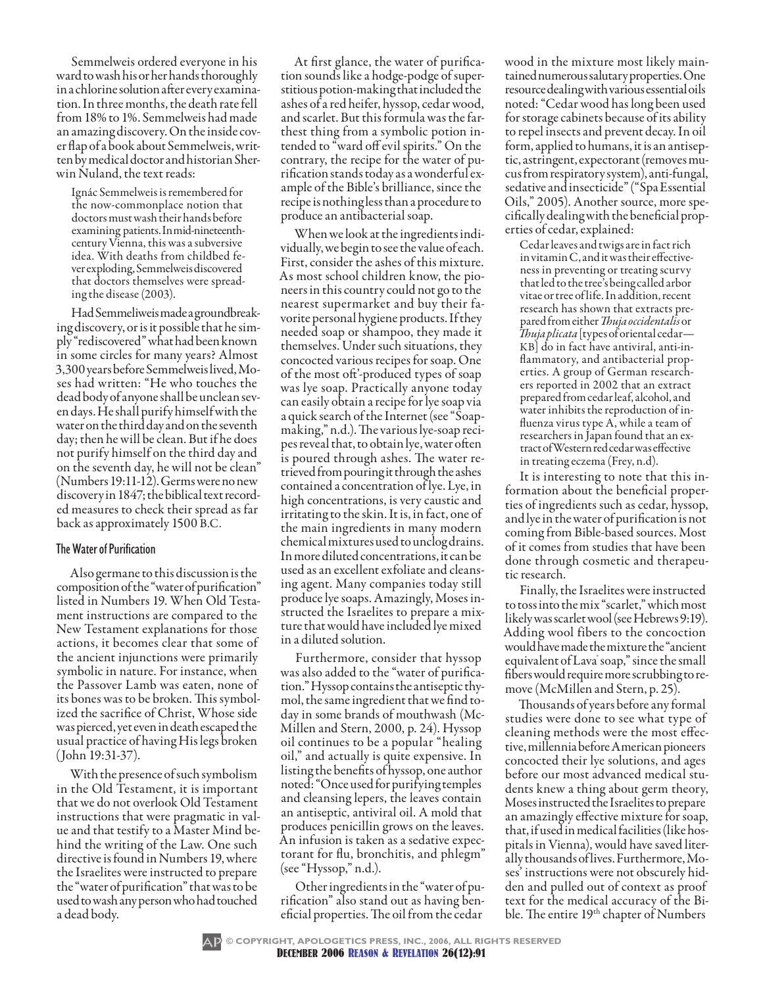Semmelweis ordered everyone in his ward to wash his or her hands thoroughly in a chlorine solution after every examination. In three months, the death rate fell from 18% to 1%. Semmelweis had made an amazing discovery. On the inside cover flap of a book about Semmelweis, written by medical doctor and historian Sherwin Nuland, the text reads:

Ignác Semmelweis is remembered for the now-commonplace notion that doctors must wash their hands before examining patients. In mid-nineteenthcentury Vienna, this was a subversive idea. With deaths from childbed fever exploding, Semmelweis discovered that doctors themselves were spreading the disease (2003).

Had Semmeliweis made a groundbreaking discovery, or is it possible that he simply "rediscovered" what had been known in some circles for many years? Almost 3,300 years before Semmelweis lived, Moses had written: "He who touches the dead body of anyone shall be unclean seven days. He shall purify himself with the water on the third day and on the seventh day; then he will be clean. But if he does not purify himself on the third day and on the seventh day, he will not be clean" (Numbers 19:11-12). Germs were no new discovery in 1847; the biblical text recorded measures to check their spread as far back as approximately 1500 B.C.

### The Water of Purification

Also germane to this discussion is the composition of the "water of purification" listed in Numbers 19. When Old Testament instructions are compared to the New Testament explanations for those actions, it becomes clear that some of the ancient injunctions were primarily symbolic in nature. For instance, when the Passover Lamb was eaten, none of its bones was to be broken. This symbolized the sacrifice of Christ, Whose side was pierced, yet even in death escaped the usual practice of having His legs broken (John 19:31-37).

With the presence of such symbolism in the Old Testament, it is important that we do not overlook Old Testament instructions that were pragmatic in value and that testify to a Master Mind behind the writing of the Law. One such directive is found in Numbers 19, where the Israelites were instructed to prepare the "water of purification" that was to be used to wash any person who had touched a dead body.

At first glance, the water of purification sounds like a hodge-podge of superstitious potion-making that included the ashes of a red heifer, hyssop, cedar wood, and scarlet. But this formula was the farthest thing from a symbolic potion intended to "ward off evil spirits." On the contrary, the recipe for the water of purification stands today as a wonderful example of the Bible's brilliance, since the recipe is nothing less than a procedure to produce an antibacterial soap.

When we look at the ingredients individually, we begin to see the value of each. First, consider the ashes of this mixture. As most school children know, the pioneers in this country could not go to the nearest supermarket and buy their favorite personal hygiene products. If they needed soap or shampoo, they made it themselves. Under such situations, they concocted various recipes for soap. One of the most oft'-produced types of soap was lye soap. Practically anyone today can easily obtain a recipe for lye soap via a quick search of the Internet (see "Soapmaking," n.d.). The various lye-soap recipes reveal that, to obtain lye, water often is poured through ashes. The water retrieved from pouring it through the ashes contained a concentration of lye. Lye, in high concentrations, is very caustic and irritating to the skin. It is, in fact, one of the main ingredients in many modern chemical mixtures used to unclog drains. In more diluted concentrations, it can be used as an excellent exfoliate and cleansing agent. Many companies today still produce lye soaps. Amazingly, Moses instructed the Israelites to prepare a mixture that would have included lye mixed in a diluted solution.

Furthermore, consider that hyssop was also added to the "water of purification." Hyssop contains the antiseptic thymol, the same ingredient that we find today in some brands of mouthwash (Mc-Millen and Stern, 2000, p. 24). Hyssop oil continues to be a popular "healing oil," and actually is quite expensive. In listing the benefits of hyssop, one author noted: "Once used for purifying temples and cleansing lepers, the leaves contain an antiseptic, antiviral oil. A mold that produces penicillin grows on the leaves. An infusion is taken as a sedative expectorant for flu, bronchitis, and phlegm" (see "Hyssop," n.d.).

Other ingredients in the "water of purification" also stand out as having beneficial properties. The oil from the cedar

wood in the mixture most likely maintained numerous salutary properties. One resource dealing with various essential oils noted: "Cedar wood has long been used for storage cabinets because of its ability to repel insects and prevent decay. In oil form, applied to humans, it is an antiseptic, astringent, expectorant (removes mucus from respiratory system), anti-fungal, sedative and insecticide" ("Spa Essential Oils," 2005). Another source, more specifically dealing with the beneficial properties of cedar, explained:

Cedar leaves and twigs are in fact rich in vitamin C, and it was their effectiveness in preventing or treating scurvy that led to the tree's being called arbor vitae or tree of life. In addition, recent research has shown that extracts prepared from either *Thuja occidentalis* or *Thuja plicata* [types of oriental cedar— KB] do in fact have antiviral, anti-inflammatory, and antibacterial properties. A group of German researchers reported in 2002 that an extract prepared from cedar leaf, alcohol, and water inhibits the reproduction of influenza virus type A, while a team of researchers in Japan found that an extract of Western red cedar was effective in treating eczema (Frey, n.d).

It is interesting to note that this information about the beneficial properties of ingredients such as cedar, hyssop, and lye in the water of purification is not coming from Bible-based sources. Most of it comes from studies that have been done through cosmetic and therapeutic research.

Finally, the Israelites were instructed to toss into the mix "scarlet," which most likely was scarlet wool (see Hebrews 9:19). Adding wool fibers to the concoction would have made the mixture the "ancient equivalent of Lava'soap," since the small fibers would require more scrubbing to remove (McMillen and Stern, p. 25).

Thousands of years before any formal studies were done to see what type of cleaning methods were the most effective, millennia before American pioneers concocted their lye solutions, and ages before our most advanced medical students knew a thing about germ theory, Moses instructed the Israelites to prepare an amazingly effective mixture for soap, that, if used in medical facilities (like hospitals in Vienna), would have saved literally thousands of lives. Furthermore, Moses' instructions were not obscurely hidden and pulled out of context as proof text for the medical accuracy of the Bible. The entire 19<sup>th</sup> chapter of Numbers

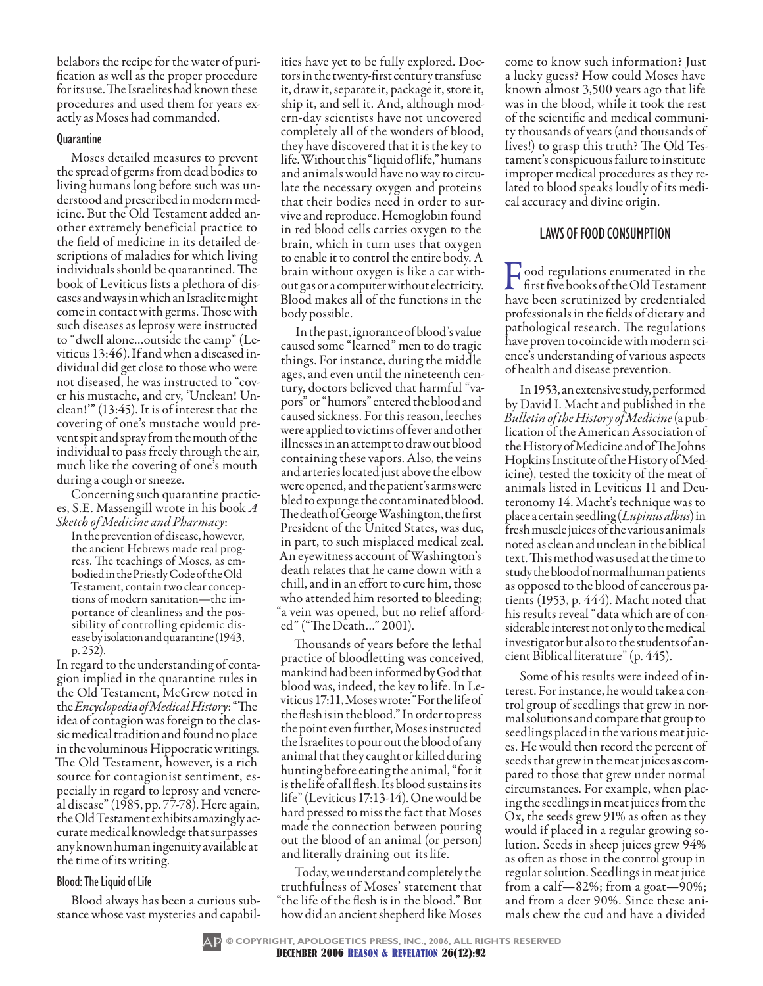belabors the recipe for the water of purification as well as the proper procedure for its use. The Israelites had known these procedures and used them for years exactly as Moses had commanded.

### **Ouarantine**

Moses detailed measures to prevent the spread of germs from dead bodies to living humans long before such was understood and prescribed in modern medicine. But the Old Testament added another extremely beneficial practice to the field of medicine in its detailed descriptions of maladies for which living individuals should be quarantined. The book of Leviticus lists a plethora of diseases and ways in which an Israelite might come in contact with germs. Those with such diseases as leprosy were instructed to "dwell alone…outside the camp" (Leviticus 13:46). If and when a diseased individual did get close to those who were not diseased, he was instructed to "cover his mustache, and cry, 'Unclean! Unclean!'" (13:45). It is of interest that the covering of one's mustache would prevent spit and spray from the mouth of the individual to pass freely through the air, much like the covering of one's mouth during a cough or sneeze.

Concerning such quarantine practices, S.E. Massengill wrote in his book *A* 

In the prevention of disease, however, the ancient Hebrews made real progress. The teachings of Moses, as embodied in the Priestly Code of the Old Testament, contain two clear conceptions of modern sanitation—the importance of cleanliness and the possibility of controlling epidemic disease by isolation and quarantine (1943, p. 252).

In regard to the understanding of contagion implied in the quarantine rules in the Old Testament, McGrew noted in the *Encyclopedia of Medical History*: "The idea of contagion was foreign to the classic medical tradition and found no place in the voluminous Hippocratic writings. The Old Testament, however, is a rich source for contagionist sentiment, especially in regard to leprosy and venereal disease" (1985, pp. 77-78). Here again, the Old Testament exhibits amazingly accurate medical knowledge that surpasses any known human ingenuity available at the time of its writing.

### Blood: The Liquid of Life

Blood always has been a curious substance whose vast mysteries and capabil-

ities have yet to be fully explored. Doctors in the twenty-first century transfuse it, draw it, separate it, package it, store it, ship it, and sell it. And, although modern-day scientists have not uncovered completely all of the wonders of blood, they have discovered that it is the key to life. Without this "liquid of life," humans and animals would have no way to circulate the necessary oxygen and proteins that their bodies need in order to survive and reproduce. Hemoglobin found in red blood cells carries oxygen to the brain, which in turn uses that oxygen to enable it to control the entire body. A brain without oxygen is like a car without gas or a computer without electricity. Blood makes all of the functions in the body possible.

In the past, ignorance of blood's value caused some "learned" men to do tragic things. For instance, during the middle ages, and even until the nineteenth century, doctors believed that harmful "vapors" or "humors" entered the blood and caused sickness. For this reason, leeches were applied to victims of fever and other illnesses in an attempt to draw out blood containing these vapors. Also, the veins and arteries located just above the elbow were opened, and the patient's arms were bled to expunge the contaminated blood. The death of George Washington, the first President of the United States, was due, in part, to such misplaced medical zeal. An eyewitness account of Washington's death relates that he came down with a chill, and in an effort to cure him, those who attended him resorted to bleeding; "a vein was opened, but no relief afforded" ("The Death…" 2001).

Thousands of years before the lethal practice of bloodletting was conceived, mankind had been informed by God that blood was, indeed, the key to life. In Leviticus 17:11, Moses wrote: "For the life of the flesh is in the blood." In order to press the point even further, Moses instructed the Israelites to pour out the blood of any animal that they caught or killed during hunting before eating the animal, "for it is the life of all flesh. Its blood sustains its life" (Leviticus 17:13-14). One would be hard pressed to miss the fact that Moses made the connection between pouring out the blood of an animal (or person) and literally draining out its life.

Today, we understand completely the truthfulness of Moses' statement that "the life of the flesh is in the blood." But how did an ancient shepherd like Moses come to know such information? Just a lucky guess? How could Moses have known almost 3,500 years ago that life was in the blood, while it took the rest of the scientific and medical community thousands of years (and thousands of lives!) to grasp this truth? The Old Testament's conspicuous failure to institute improper medical procedures as they related to blood speaks loudly of its medical accuracy and divine origin.

### Laws of Food Consumption

 $\Gamma$  ood regulations enumerated in the first five books of the Old Testament first five books of the Old Testament have been scrutinized by credentialed professionals in the fields of dietary and pathological research. The regulations have proven to coincide with modern science's understanding of various aspects of health and disease prevention.

In 1953, an extensive study, performed by David I. Macht and published in the *Bulletin of the History of Medicine* (a publication of the American Association of the History of Medicine and of The Johns Hopkins Institute of the History of Medicine), tested the toxicity of the meat of animals listed in Leviticus 11 and Deuteronomy 14. Macht's technique was to place a certain seedling (*Lupinusalbus*) in fresh muscle juices of the various animals noted as clean and unclean in the biblical text. This method was used at the time to study the blood of normal human patients as opposed to the blood of cancerous patients (1953, p. 444). Macht noted that his results reveal "data which are of considerable interest not only to the medical investigator but also to the students of ancient Biblical literature" (p. 445).

Some of his results were indeed of interest. For instance, he would take a control group of seedlings that grew in normal solutions and compare that group to seedlings placed in the various meat juices. He would then record the percent of seeds that grew in the meat juices as compared to those that grew under normal circumstances. For example, when placing the seedlings in meat juices from the Ox, the seeds grew 91% as often as they would if placed in a regular growing solution. Seeds in sheep juices grew 94% as often as those in the control group in regular solution. Seedlings in meat juice from a calf—82%; from a goat—90%; and from a deer 90%. Since these animals chew the cud and have a divided

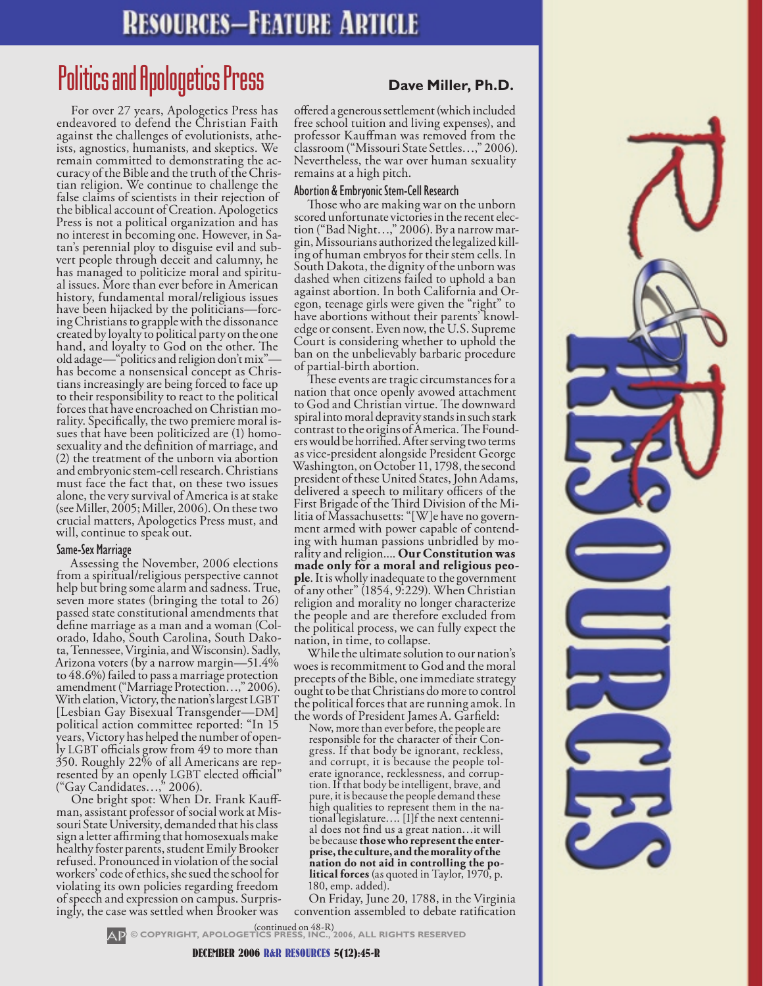# **RESOURCES-FEATURE ARTICLE**

# Politics and Apologetics Press **Dave Miller, Ph.D.**

For over 27 years, Apologetics Press has endeavored to defend the Christian Faith against the challenges of evolutionists, athe-<br>ists, agnostics, humanists, and skeptics. We<br>remain committed to demonstrating the accuracy of the Bible and the truth of the Chris-<br>tian religion. We continue to challenge the false claims of scientists in their rejection of the biblical account of Creation. Apologetics Press is not a political organization and has no interest in becoming one. However, in Sa-<br>tan's perennial ploy to disguise evil and sub-<br>vert people through deceit and calumny, he has managed to politicize moral and spiritu- al issues. More than ever before in American history, fundamental moral/religious issues ing Christians to grapple with the dissonance created by loyalty to political party on the one hand, and loyalty to God on the other. The old adage—"politics and religion don't mix" has become a nonsensical concept as Chris- tians increasingly are being forced to face up to their responsibility to react to the political rality. Specifically, the two premiere moral is-<br>sues that have been politicized are (1) homo-<br>sexuality and the definition of marriage, and (2) the treatment of the unborn via abortion and embryonic stem-cell research. Christians must face the fact that, on these two issues alone, the very survival of America is at stake (see Miller, 2005; Miller, 2006). On these two crucial matters, Apologetics Press must, and will, continue to speak out.

Same-Sex Marriage Assessing the November, 2006 elections from a spiritual/religious perspective cannot help but bring some alarm and sadness. True, seven more states (bringing the total to 26) passed state constitutional amendments that<br>define marriage as a man and a woman (Colorado, Idaho, South Carolina, South Dako-ta, Tennessee, Virginia, and Wisconsin). Sadly, Arizona voters (by a narrow margin—51.4% to 48.6%) failed to pass a marriage protection amendment ("Marriage Protection…," 2006). With elation, Victory, the nation's largest LGBT [Lesbian Gay Bisexual Transgender—DM] political action committee reported: "In 15<br>years, Victory has helped the number of openyears, Victory has helped the number of open-<br>ly LGBT officials grow from 49 to more than<br>350. Roughly 22% of all Americans are rep-<br>resented by an openly LGBT elected official" ("Gay Candidates…," 2006).

One bright spot: When Dr. Frank Kauff- man, assistant professor of social work at Mis- souri State University, demanded that his class sign a letter affirming that homosexuals make healthy foster parents, student Emily Brooker refused. Pronounced in violation of the social workers' code of ethics, she sued the school for violating its own policies regarding freedom ingly, the case was settled when Brooker was

offered a generous settlement (which included free school tuition and living expenses), and professor Kauffman was removed from the classroom ("Missouri State Settles…," 2006). Nevertheless, the war over human sexuality remains at a high pitch.

### Abortion & Embryonic Stem-Cell Research

Those who are making war on the unborn<br>scored unfortunate victories in the recent elec-<br>tion ("Bad Night...," 2006). By a narrow mar-<br>gin, Missourians authorized the legalized kill-<br>ing of human embryos for their stem cell South Dakota, the dignity of the unborn was dashed when citizens failed to uphold a ban egon, teenage girls were given the "right" to have abortions without their parents' knowl- edge or consent. Even now, the U.S. Supreme Court is considering whether to uphold the ban on the unbelievably barbaric procedure of partial-birth abortion.

These events are tragic circumstances for a nation that once openly avowed attachment to God and Christian virtue. The downward spiral into moral depravity stands in such stark contrast to the origins of America. The Found- ers would be horrified. After serving two terms as vice-president alongside President George Washington, on October 11, 1798, the second president of these United States, John Adams, delivered a speech to military officers of the<br>First Brigade of the Third Division of the Militia of Massachusetts: "[W]e have no government armed with power capable of contending with human passions unbridled by morality and religion.... Our Constitution was made only for a moral and religious peo**made only for a moral and religious peo- ple**. It is wholly inadequate to the government of any other" (1854, 9:229). When Christian religion and morality no longer characterize the people and are therefore excluded from the political process, we can fully expect the nation, in time, to collapse.

While the ultimate solution to our nation's woes is recommitment to God and the moral precepts of the Bible, one immediate strategy ought to be that Christians do more to control the political forces that are running amok. In the words of President James A. Garfield:

Now, more than ever before, the people are responsible for the character of their Congress. If that body be ignorant, reckless, and corrupt, it is because the people tolerate ignorance, recklessness, and corrup-<br>tion. If that body be intelligent, brave, and pure, it is because the people demand these high qualities to represent them in the na-<br>tional legislature…. [I]f the next centenni-<br>al does not find us a great nation…it will al does not find us a great nation...it will<br>be because **those who represent the enter-**<br>**prise, the culture, and the morality of the**<br>**nation do not aid in controlling the political forces** (as quoted in Taylor, 1970, p.<br>180, emp. added).<br>On Friday, June 20, 1788, in the Virginia

convention assembled to debate ratification

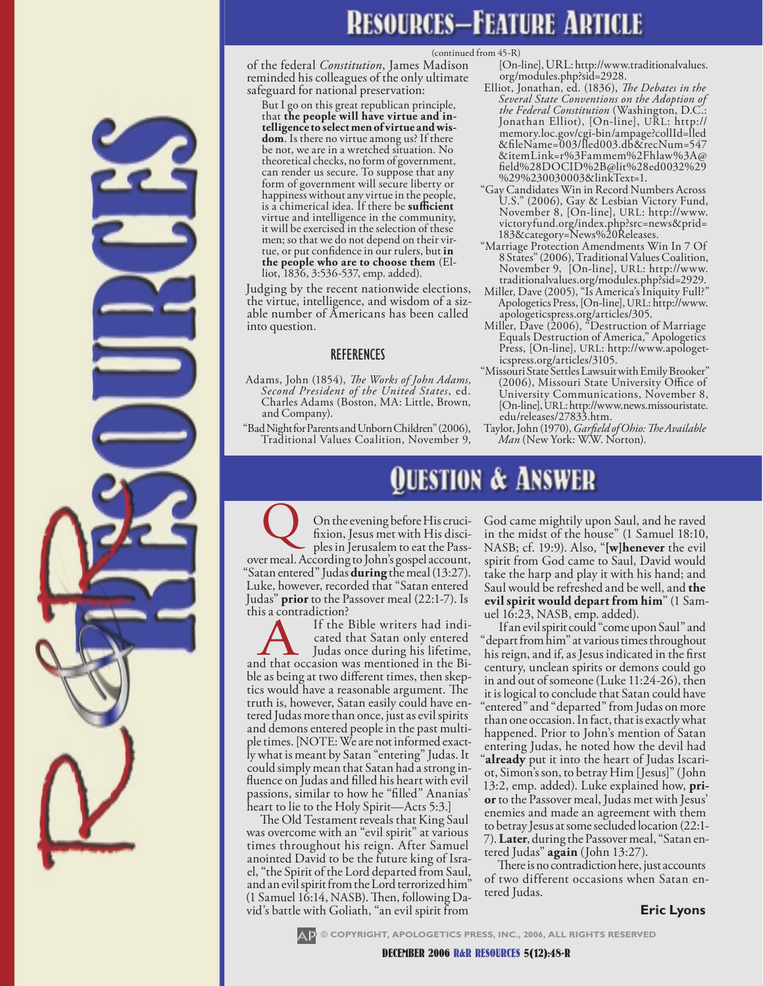

# RESOURCES–FEATURE ARTICLE

of the federal *Constitution*, James Madison reminded his colleagues of the only ultimate safeguard for national preservation: (continued from 45-R)

But I go on this great republican principle, that the people will have virtue and in**the people to select men of virtue and wis-<br><b>dom**. Is there no virtue among us? If there<br>be not, we are in a wretched situation. No theoretical checks, no form of government, can render us secure. To suppose that any form of government will secure liberty or happiness without any virtue in the people, is a chimerical idea. If there be **sufficient** virtue and intelligence in the community, it will be exercised in the selection of these tue, or put confidence in our rulers, but in **the people who are to choose them** (El- liot, 1836, 3:536-537, emp. added).

Judging by the recent nationwide elections, the virtue, intelligence, and wisdom of a siz- able number of Americans has been called into question.

### **REFERENCES**

Adams, John (1854), *The Works of John Adams, Second President of the United States*, ed. Charles Adams (Boston, MA: Little, Brown, and Company).

"Bad Night for Parents and Unborn Children" (2006), Traditional Values Coalition, November 9,

[On-line], URL: http://www.traditionalvalues. org/modules.php?sid=2928.

- Elliot, Jonathan, ed. (1836), *The Debates in the Several State Conventions on the Adoption of*  Jonathan Elliot), [On-line], URL: http://<br>memory.loc.gov/cgi-bin/ampage?collId=lled &fileName=003/lled003.db&recNum=547 &itemLink=r%3Fammem%2Fhlaw%3A@ field%28DOCID%2B@lit%28ed0032%29 %29%230030003&linkText=1.<br>Gay Candidates Win in Record Numbers Across'
- U.S." (2006), Gay & Lesbian Victory Fund,<br>November 8, [On-line], URL: http://www. November 8, [On-line], URL: http://www. victoryfund.org/index.php?src=news&prid= 183&category=News%20Releases.
- "Marriage Protection Amendments Win In 7 Of 8 States" (2006), Traditional Values Coalition, traditionalvalues.org/modules.php?sid=2929.<br>Miller, Dave (2005), "Is America's Iniquity Full?"
- Apologetics Press, [On-line], URL: http://www.
- apologeticspress.org/articles/305.<br>Miller, Dave (2006), "Destruction of Marriage<br>Equals Destruction of America," Apologetics Press, [On-line], URL: http://www.apologet- icspress.org/articles/3105.
- (2006), Missouri State University Office of University Communications, November 8, [On-line], URL: http://www.news.missouristate. edu/releases/27833.htm.
- Taylor, John (1970), *Garfield of Ohio: The Available Man* (New York: W.W. Norton).

## uestion & Answer

On the evening before His cruci-<br>fixion, Jesus met with His disci-<br>ples in Jerusalem to eat the Pass-<br>over meal. According to John's gospel account, "Satan entered" Judas **during** the meal (13:27). Luke, however, recorded that "Satan entered Judas" **prior** to the Passover meal (22:1-7). Is

this a contradiction?<br>If the Bible writers had indiand that Satan only entered<br>Iudas once during his lifetime,<br>and that occasion was mentioned in the Bi-Judas once during his lifetime, ble as being at two different times, then skep-<br>tics would have a reasonable argument. The truth is, however, Satan easily could have en- tered Judas more than once, just as evil spirits and demons entered people in the past multi- ple times. [NOTE: We are not informed exact- ly what is meant by Satan "entering" Judas. It could simply mean that Satan had a strong in- fluence on Judas and filled his heart with evil passions, similar to how he "filled" Ananias' heart to lie to the Holy Spirit—Acts 5:3.]

The Old Testament reveals that King Saul was overcome with an "evil spirit" at various times throughout his reign. After Samuel anointed David to be the future king of Isra- el, "the Spirit of the Lord departed from Saul, and an evil spirit from the Lord terrorized him" vid's battle with Goliath, "an evil spirit from

God came mightily upon Saul, and he raved in the midst of the house" (1 Samuel 18:10, NASB; cf. 19:9). Also, "**[w]henever** the evil spirit from God came to Saul, David would take the harp and play it with his hand; and Saul would be refreshed and be well, and **the evil spirit would depart from him**" (1 Samuel 16:23, NASB, emp. added).

If an evil spirit could "come upon Saul" and "depart from him" at various times throughout his reign, and if, as Jesus indicated in the first century, unclean spirits or demons could go in and out of someone (Luke 11:24-26), then it is logical to conclude that Satan could have "entered" and "departed" from Judas on more than one occasion. In fact, that is exactly what happened. Prior to John's mention of Satan entering Judas, he noted how the devil had "**already** put it into the heart of Judas Iscariot, Simon's son, to betray Him [Jesus]" (John 13:2, emp. added). Luke explained how, **prior** to the Passover meal, Judas met with Jesus' enemies and made an agreement with them to betray Jesus at some secluded location (22:1- 7). **Later**, during the Passover meal, "Satan entered Judas" **again** (John 13:27).

There is no contradiction here, just accounts of two different occasions when Satan entered Judas.





**© COPYRIGHT, APOLOGETICS PRESS, INC., 2006, ALL RIGHTS RESERVED**

December 2006 R&R Resources 5(12):48-R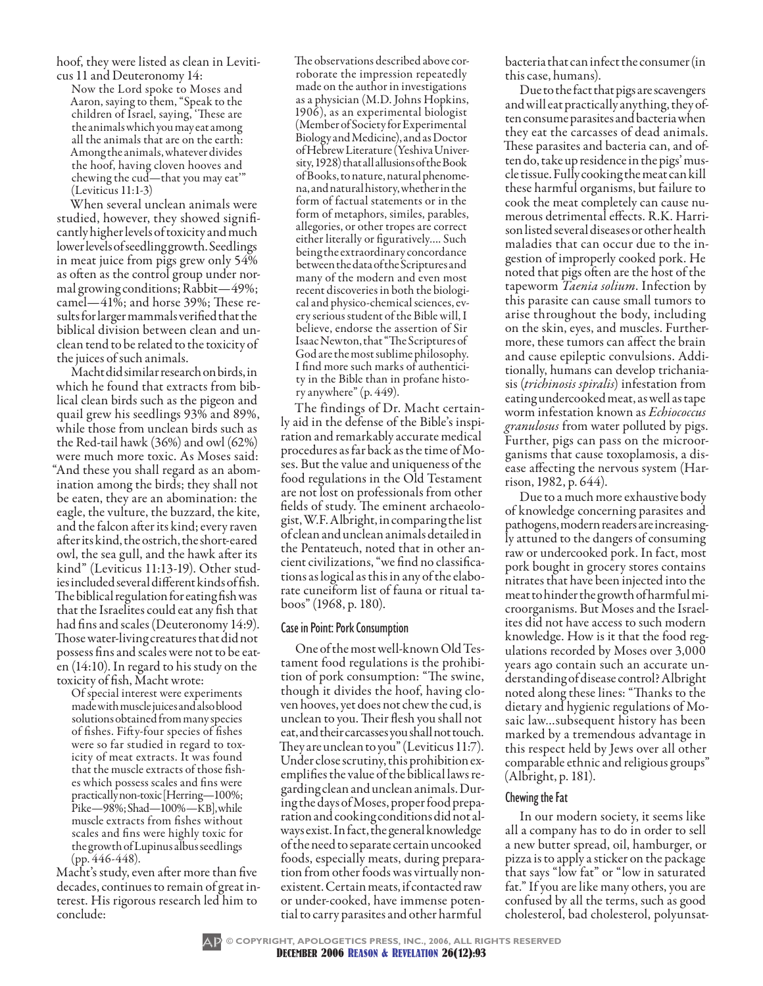hoof, they were listed as clean in Leviticus 11 and Deuteronomy 14:

Now the Lord spoke to Moses and Aaron, saying to them, "Speak to the children of Israel, saying, 'These are the animals which you may eat among all the animals that are on the earth: Among the animals, whatever divides the hoof, having cloven hooves and chewing the cud—that you may eat'" (Leviticus 11:1-3)

When several unclean animals were studied, however, they showed significantly higher levels of toxicity and much lower levels of seedling growth. Seedlings in meat juice from pigs grew only 54% as often as the control group under normal growing conditions; Rabbit—49%; camel—41%; and horse 39%; These results for larger mammals verified that the biblical division between clean and unclean tend to be related to the toxicity of the juices of such animals.

Macht did similar research on birds, in which he found that extracts from biblical clean birds such as the pigeon and quail grew his seedlings 93% and 89%, while those from unclean birds such as the Red-tail hawk (36%) and owl (62%) were much more toxic. As Moses said: "And these you shall regard as an abomination among the birds; they shall not be eaten, they are an abomination: the eagle, the vulture, the buzzard, the kite, and the falcon after its kind; every raven after its kind, the ostrich, the short-eared owl, the sea gull, and the hawk after its kind" (Leviticus 11:13-19). Other studies included several different kinds of fish. The biblical regulation for eating fish was that the Israelites could eat any fish that had fins and scales (Deuteronomy 14:9). Those water-living creatures that did not possess fins and scales were not to be eaten (14:10). In regard to his study on the toxicity of fish, Macht wrote:

Of special interest were experiments made with muscle juices and also blood solutions obtained from many species of fishes. Fifty-four species of fishes were so far studied in regard to toxicity of meat extracts. It was found that the muscle extracts of those fishes which possess scales and fins were practically non-toxic [Herring—100%; Pike—98%; Shad—100%—KB], while muscle extracts from fishes without scales and fins were highly toxic for the growth of Lupinus albus seedlings (pp. 446-448).

Macht's study, even after more than five decades, continues to remain of great interest. His rigorous research led him to conclude:

The observations described above corroborate the impression repeatedly made on the author in investigations as a physician (M.D. Johns Hopkins, 1906), as an experimental biologist (Member of Society for Experimental Biology and Medicine), and as Doctor of Hebrew Literature (Yeshiva University, 1928) that all allusions of the Book of Books, to nature, natural phenomena, and natural history, whether in the form of factual statements or in the form of metaphors, similes, parables, allegories, or other tropes are correct either literally or figuratively…. Such being the extraordinary concordance between the data of the Scriptures and many of the modern and even most recent discoveries in both the biological and physico-chemical sciences, every serious student of the Bible will, I believe, endorse the assertion of Sir Isaac Newton, that "The Scriptures of God are the most sublime philosophy. I find more such marks of authenticity in the Bible than in profane history anywhere" (p. 449).

The findings of Dr. Macht certainly aid in the defense of the Bible's inspiration and remarkably accurate medical procedures as far back as the time of Moses. But the value and uniqueness of the food regulations in the Old Testament are not lost on professionals from other fields of study. The eminent archaeologist, W.F. Albright, in comparing the list of clean and unclean animals detailed in the Pentateuch, noted that in other ancient civilizations, "we find no classifications as logical as this in any of the elaborate cuneiform list of fauna or ritual taboos" (1968, p. 180).

### Case in Point: Pork Consumption

One of the most well-known Old Testament food regulations is the prohibition of pork consumption: "The swine, though it divides the hoof, having cloven hooves, yet does not chew the cud, is unclean to you. Their flesh you shall not eat, and their carcasses you shall not touch. They are unclean to you" (Leviticus 11:7). Under close scrutiny, this prohibition exemplifies the value of the biblical laws regarding clean and unclean animals. During the days of Moses, proper food preparation and cooking conditions did not always exist. In fact, the general knowledge of the need to separate certain uncooked foods, especially meats, during preparation from other foods was virtually nonexistent. Certain meats, if contacted raw or under-cooked, have immense potential to carry parasites and other harmful

bacteria that can infect the consumer (in this case, humans).

Due to the fact that pigs are scavengers and will eat practically anything, they often consume parasites and bacteria when they eat the carcasses of dead animals. These parasites and bacteria can, and often do, take up residence in the pigs' muscle tissue. Fully cooking the meat can kill these harmful organisms, but failure to cook the meat completely can cause numerous detrimental effects. R.K. Harrison listed several diseases or other health maladies that can occur due to the ingestion of improperly cooked pork. He noted that pigs often are the host of the tapeworm *Taenia solium*. Infection by this parasite can cause small tumors to arise throughout the body, including on the skin, eyes, and muscles. Furthermore, these tumors can affect the brain and cause epileptic convulsions. Additionally, humans can develop trichaniasis (*trichinosis spiralis*) infestation from eating undercooked meat, as well as tape worm infestation known as *Echiococcus granulosus* from water polluted by pigs. Further, pigs can pass on the microorganisms that cause toxoplamosis, a disease affecting the nervous system (Harrison, 1982, p. 644).

Due to a much more exhaustive body of knowledge concerning parasites and pathogens, modern readers are increasingly attuned to the dangers of consuming raw or undercooked pork. In fact, most pork bought in grocery stores contains nitrates that have been injected into the meat to hinder the growth of harmful microorganisms. But Moses and the Israelites did not have access to such modern knowledge. How is it that the food regulations recorded by Moses over 3,000 years ago contain such an accurate understanding of disease control? Albright noted along these lines: "Thanks to the dietary and hygienic regulations of Mosaic law…subsequent history has been marked by a tremendous advantage in this respect held by Jews over all other comparable ethnic and religious groups" (Albright, p. 181).

### Chewing the Fat

In our modern society, it seems like all a company has to do in order to sell a new butter spread, oil, hamburger, or pizza is to apply a sticker on the package that says "low fat" or "low in saturated fat." If you are like many others, you are confused by all the terms, such as good cholesterol, bad cholesterol, polyunsat-

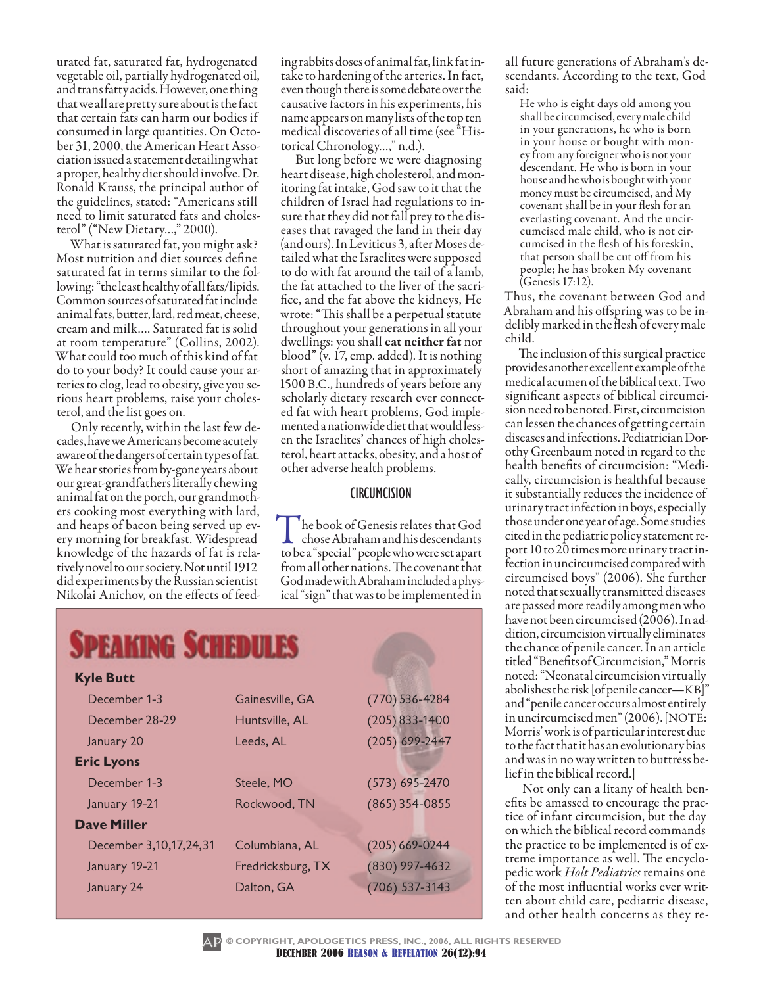urated fat, saturated fat, hydrogenated vegetable oil, partially hydrogenated oil, and trans fatty acids. However, one thing that we all are pretty sure about is the fact that certain fats can harm our bodies if consumed in large quantities. On October 31, 2000, the American Heart Association issued a statement detailing what a proper, healthy diet should involve. Dr. Ronald Krauss, the principal author of the guidelines, stated: "Americans still need to limit saturated fats and cholesterol" ("New Dietary…," 2000).

What is saturated fat, you might ask? Most nutrition and diet sources define saturated fat in terms similar to the following: "the least healthy of all fats/lipids. Common sources of saturated fat include animal fats, butter, lard, red meat, cheese, cream and milk…. Saturated fat is solid at room temperature" (Collins, 2002). What could too much of this kind of fat do to your body? It could cause your arteries to clog, lead to obesity, give you serious heart problems, raise your cholesterol, and the list goes on.

Only recently, within the last few decades, have we Americans become acutely aware of the dangers of certain types of fat. We hear stories from by-gone years about our great-grandfathers literally chewing animal fat on the porch, our grandmothers cooking most everything with lard, and heaps of bacon being served up every morning for breakfast. Widespread knowledge of the hazards of fat is relatively novel to our society. Not until 1912 did experiments by the Russian scientist Nikolai Anichov, on the effects of feed-

ing rabbits doses of animal fat, link fat intake to hardening of the arteries. In fact, even though there is some debate over the causative factors in his experiments, his name appears on many lists of the top ten medical discoveries of all time (see "Historical Chronology…," n.d.).

But long before we were diagnosing heart disease, high cholesterol, and monitoring fat intake, God saw to it that the children of Israel had regulations to insure that they did not fall prey to the diseases that ravaged the land in their day (and ours). In Leviticus 3, after Moses detailed what the Israelites were supposed to do with fat around the tail of a lamb, the fat attached to the liver of the sacrifice, and the fat above the kidneys, He wrote: "This shall be a perpetual statute throughout your generations in all your dwellings: you shall eat neither fat nor blood" (v. 17, emp. added). It is nothing short of amazing that in approximately 1500 B.C., hundreds of years before any scholarly dietary research ever connected fat with heart problems, God implemented a nationwide diet that would lessen the Israelites' chances of high cholesterol, heart attacks, obesity, and a host of other adverse health problems.

### Circumcision

The book of Genesis relates that God<br>chose Abraham and his descendants<br>tehes "grecial" people who were get aport to be a "special" people who were set apart from all other nations. The covenant that God made with Abraham included a physical "sign" that was to be implemented in

| <b>SPEAKING SCHEDULES</b>  |                   |                    |
|----------------------------|-------------------|--------------------|
| <b>Kyle Butt</b>           |                   |                    |
| December 1-3               | Gainesville, GA   | $(770)$ 536-4284   |
| December 28-29             | Huntsville, AL    | $(205) 833 - 1400$ |
| January 20                 | Leeds. AL         | $(205)$ 699-2447   |
| <b>Eric Lyons</b>          |                   |                    |
| December 1-3               | Steele, MO        | $(573) 695 - 2470$ |
| January 19-21              | Rockwood, TN      | $(865)$ 354-0855   |
| <b>Dave Miller</b>         |                   |                    |
| December 3, 10, 17, 24, 31 | Columbiana, AL    | $(205)$ 669-0244   |
| January 19-21              | Fredricksburg, TX | (830) 997-4632     |
| January 24                 | Dalton, GA        | $(706) 537 - 3143$ |

all future generations of Abraham's descendants. According to the text, God said:

He who is eight days old among you shall be circumcised, every male child in your generations, he who is born in your house or bought with money from any foreigner who is not your descendant. He who is born in your house and he who is bought with your money must be circumcised, and My covenant shall be in your flesh for an everlasting covenant. And the uncircumcised male child, who is not circumcised in the flesh of his foreskin, that person shall be cut off from his people; he has broken My covenant (Genesis 17:12).

Thus, the covenant between God and Abraham and his offspring was to be indelibly marked in the flesh of every male child.

The inclusion of this surgical practice provides another excellent example of the medical acumen of the biblical text. Two significant aspects of biblical circumcision need to be noted. First, circumcision can lessen the chances of getting certain diseases and infections. Pediatrician Dorothy Greenbaum noted in regard to the health benefits of circumcision: "Medically, circumcision is healthful because it substantially reduces the incidence of urinary tract infection in boys, especially those under one year of age. Some studies cited in the pediatric policy statement report 10 to 20 times more urinary tract infection in uncircumcised compared with circumcised boys" (2006). She further noted that sexually transmitted diseases are passed more readily among men who have not been circumcised (2006). In addition, circumcision virtually eliminates the chance of penile cancer. In an article titled "Benefits of Circumcision," Morris noted: "Neonatal circumcision virtually abolishes the risk [of penile cancer—KB]" and "penile cancer occurs almost entirely in uncircumcised men" (2006). [NOTE: Morris' work is of particular interest due to the fact that it has an evolutionary bias and was in no way written to buttress belief in the biblical record.]

 Not only can a litany of health benefits be amassed to encourage the practice of infant circumcision, but the day on which the biblical record commands the practice to be implemented is of extreme importance as well. The encyclopedic work *Holt Pediatrics* remains one of the most influential works ever written about child care, pediatric disease, and other health concerns as they re-

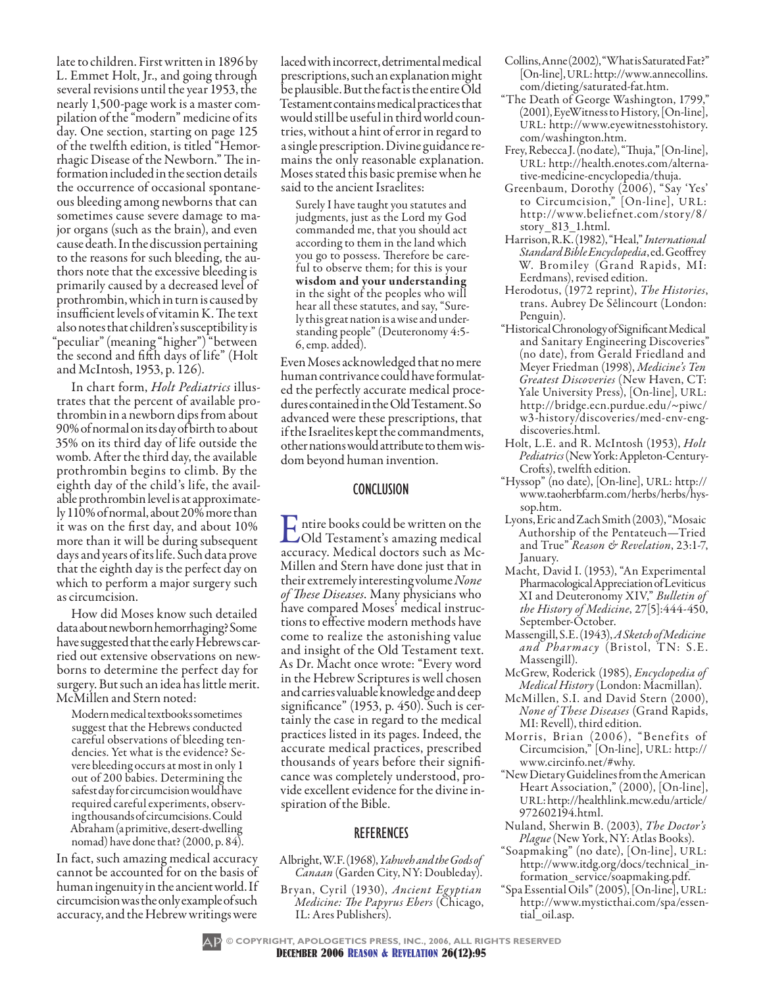late to children. First written in 1896 by L. Emmet Holt, Jr., and going through several revisions until the year 1953, the nearly 1,500-page work is a master compilation of the "modern" medicine of its day. One section, starting on page 125 of the twelfth edition, is titled "Hemorrhagic Disease of the Newborn." The information included in the section details the occurrence of occasional spontaneous bleeding among newborns that can sometimes cause severe damage to major organs (such as the brain), and even cause death. In the discussion pertaining to the reasons for such bleeding, the authors note that the excessive bleeding is primarily caused by a decreased level of prothrombin, which in turn is caused by insufficient levels of vitamin K. The text also notes that children's susceptibility is "peculiar" (meaning "higher") "between the second and fifth days of life" (Holt and McIntosh, 1953, p. 126).

In chart form, *Holt Pediatrics* illustrates that the percent of available prothrombin in a newborn dips from about 90% of normal on its day of birth to about 35% on its third day of life outside the womb. After the third day, the available prothrombin begins to climb. By the eighth day of the child's life, the available prothrombin level is at approximately 110% of normal, about 20% more than it was on the first day, and about 10% more than it will be during subsequent days and years of its life. Such data prove that the eighth day is the perfect day on which to perform a major surgery such as circumcision.

How did Moses know such detailed data about newborn hemorrhaging? Some have suggested that the early Hebrews carried out extensive observations on newborns to determine the perfect day for surgery. But such an idea has little merit. McMillen and Stern noted:

Modern medical textbooks sometimes suggest that the Hebrews conducted careful observations of bleeding tendencies. Yet what is the evidence? Severe bleeding occurs at most in only 1 out of 200 babies. Determining the safest day for circumcision would have required careful experiments, observing thousands of circumcisions. Could Abraham (a primitive, desert-dwelling nomad) have done that? (2000, p. 84).

In fact, such amazing medical accuracy cannot be accounted for on the basis of human ingenuity in the ancient world. If circumcision was the only example of such accuracy, and the Hebrew writings were

laced with incorrect, detrimental medical prescriptions, such an explanation might be plausible. But the fact is the entire Old Testament contains medical practices that would still be useful in third world countries, without a hint of error in regard to a single prescription. Divine guidance remains the only reasonable explanation. Moses stated this basic premise when he said to the ancient Israelites:

Surely I have taught you statutes and judgments, just as the Lord my God commanded me, that you should act according to them in the land which you go to possess. Therefore be careful to observe them; for this is your wisdom and your understanding in the sight of the peoples who will hear all these statutes, and say, "Surely this great nation is a wise and understanding people" (Deuteronomy 4:5- 6, emp. added).

Even Moses acknowledged that no mere human contrivance could have formulated the perfectly accurate medical procedures contained in the Old Testament. So advanced were these prescriptions, that if the Israelites kept the commandments, other nations would attribute to them wisdom beyond human invention.

### Conclusion

 $\Gamma$  ntire books could be written on the Old Testament's amazing medical accuracy. Medical doctors such as Mc-Millen and Stern have done just that in their extremely interesting volume *None of These Diseases*. Many physicians who have compared Moses' medical instructions to effective modern methods have come to realize the astonishing value and insight of the Old Testament text. As Dr. Macht once wrote: "Every word in the Hebrew Scriptures is well chosen and carries valuable knowledge and deep significance" (1953, p. 450). Such is certainly the case in regard to the medical practices listed in its pages. Indeed, the accurate medical practices, prescribed thousands of years before their significance was completely understood, provide excellent evidence for the divine inspiration of the Bible.

### **REFERENCES**

- Albright, W.F. (1968), *Yahweh and the Gods of Canaan* (Garden City, NY: Doubleday).
- Bryan, Cyril (1930), *Ancient Egyptian Medicine: The Papyrus Ebers* (Chicago, IL: Ares Publishers).
- Collins, Anne (2002), "What is Saturated Fat?" [On-line], URL: http://www.annecollins. com/dieting/saturated-fat.htm.
- "The Death of George Washington, 1799," (2001), EyeWitness to History, [On-line], URL: http://www.eyewitnesstohistory. com/washington.htm.
- Frey, Rebecca J. (no date), "Thuja," [On-line], URL: http://health.enotes.com/alternative-medicine-encyclopedia/thuja.
- Greenbaum, Dorothy (2006), "Say 'Yes' to Circumcision," [On-line], URL: http://www.beliefnet.com/story/8/ story\_813\_1.html.
- Harrison, R.K. (1982), "Heal," *International Standard Bible Encyclopedia*, ed. Geoffrey W. Bromiley (Grand Rapids, MI: Eerdmans), revised edition.
- Herodotus, (1972 reprint), *The Histories*, trans. Aubrey De Sẻlincourt (London: Penguin).
- "Historical Chronology of Significant Medical and Sanitary Engineering Discoveries" (no date), from Gerald Friedland and Meyer Friedman (1998), *Medicine's Ten Greatest Discoveries* (New Haven, CT: Yale University Press), [On-line], URL: http://bridge.ecn.purdue.edu/~piwc/ w3-history/discoveries/med-env-engdiscoveries.html.
- Holt, L.E. and R. McIntosh (1953), *Holt Pediatrics* (New York: Appleton-Century-Crofts), twelfth edition.
- "Hyssop" (no date), [On-line], URL: http:// www.taoherbfarm.com/herbs/herbs/hyssop.htm.
- Lyons, Eric and Zach Smith (2003), "Mosaic Authorship of the Pentateuch—Tried and True" *Reason & Revelation*, 23:1-7, January.
- Macht, David I. (1953), "An Experimental Pharmacological Appreciation of Leviticus XI and Deuteronomy XIV," *Bulletin of the History of Medicine*, 27[5]:444-450, September-October.
- Massengill, S.E. (1943), *A Sketch of Medicine*  and Pharmacy (Bristol, TN: S.E. Massengill).
- McGrew, Roderick (1985), *Encyclopedia of Medical History* (London: Macmillan).
- McMillen, S.I. and David Stern (2000), *None of These Diseases* (Grand Rapids, MI: Revell), third edition.
- Morris, Brian (2006), "Benefits of Circumcision," [On-line], URL: http:// www.circinfo.net/#why.
- "New Dietary Guidelines from the American Heart Association," (2000), [On-line], URL: http://healthlink.mcw.edu/article/ 972602194.html.
- Nuland, Sherwin B. (2003), *The Doctor's Plague* (New York, NY: Atlas Books).
- "Soapmaking" (no date), [On-line], URL: http://www.itdg.org/docs/technical\_information\_service/soapmaking.pdf.
- "Spa Essential Oils" (2005), [On-line], URL: http://www.mysticthai.com/spa/essential\_oil.asp.